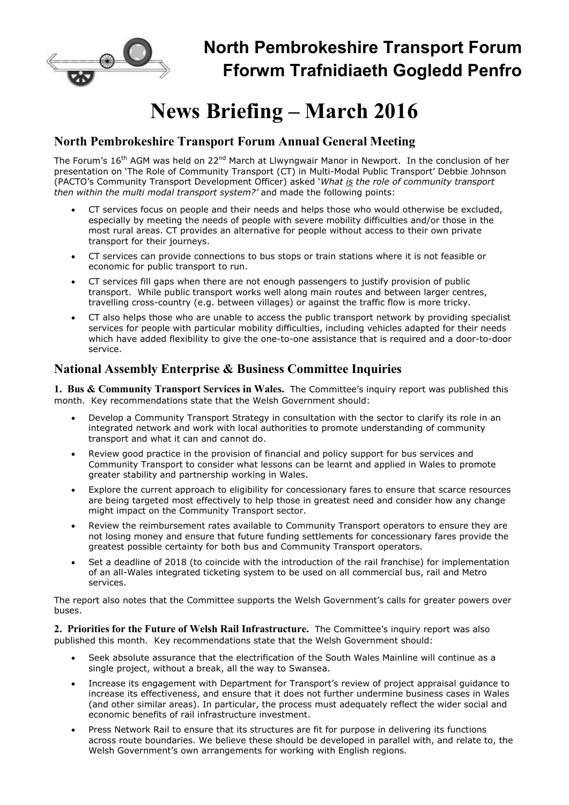

## **North Pembrokeshire Transport Forum Fforwm Trafnidiaeth Gogledd Penfro**

# **News Briefing – March 2016**

### **North Pembrokeshire Transport Forum Annual General Meeting**

The Forum's  $16<sup>th</sup>$  AGM was held on  $22<sup>nd</sup>$  March at Llwyngwair Manor in Newport. In the conclusion of her presentation on 'The Role of Community Transport (CT) in Multi-Modal Public Transport' Debbie Johnson (PACTO's Community Transport Development Officer) asked '*What is the role of community transport then within the multi modal transport system?'* and made the following points:

- CT services focus on people and their needs and helps those who would otherwise be excluded, especially by meeting the needs of people with severe mobility difficulties and/or those in the most rural areas. CT provides an alternative for people without access to their own private transport for their journeys.
- CT services can provide connections to bus stops or train stations where it is not feasible or economic for public transport to run.
- CT services fill gaps when there are not enough passengers to justify provision of public transport. While public transport works well along main routes and between larger centres, travelling cross-country (e.g. between villages) or against the traffic flow is more tricky.
- CT also helps those who are unable to access the public transport network by providing specialist services for people with particular mobility difficulties, including vehicles adapted for their needs which have added flexibility to give the one-to-one assistance that is required and a door-to-door service.

#### **National Assembly Enterprise & Business Committee Inquiries**

**1. Bus & Community Transport Services in Wales.** The Committee's inquiry report was published this month. Key recommendations state that the Welsh Government should:

- Develop a Community Transport Strategy in consultation with the sector to clarify its role in an integrated network and work with local authorities to promote understanding of community transport and what it can and cannot do.
- Review good practice in the provision of financial and policy support for bus services and Community Transport to consider what lessons can be learnt and applied in Wales to promote greater stability and partnership working in Wales.
- Explore the current approach to eligibility for concessionary fares to ensure that scarce resources are being targeted most effectively to help those in greatest need and consider how any change might impact on the Community Transport sector.
- Review the reimbursement rates available to Community Transport operators to ensure they are not losing money and ensure that future funding settlements for concessionary fares provide the greatest possible certainty for both bus and Community Transport operators.
- Set a deadline of 2018 (to coincide with the introduction of the rail franchise) for implementation of an all-Wales integrated ticketing system to be used on all commercial bus, rail and Metro services.

The report also notes that the Committee supports the Welsh Government's calls for greater powers over buses.

**2. Priorities for the Future of Welsh Rail Infrastructure.** The Committee's inquiry report was also published this month. Key recommendations state that the Welsh Government should:

- Seek absolute assurance that the electrification of the South Wales Mainline will continue as a single project, without a break, all the way to Swansea.
- Increase its engagement with Department for Transport's review of project appraisal guidance to increase its effectiveness, and ensure that it does not further undermine business cases in Wales (and other similar areas). In particular, the process must adequately reflect the wider social and economic benefits of rail infrastructure investment.
- Press Network Rail to ensure that its structures are fit for purpose in delivering its functions across route boundaries. We believe these should be developed in parallel with, and relate to, the Welsh Government's own arrangements for working with English regions.